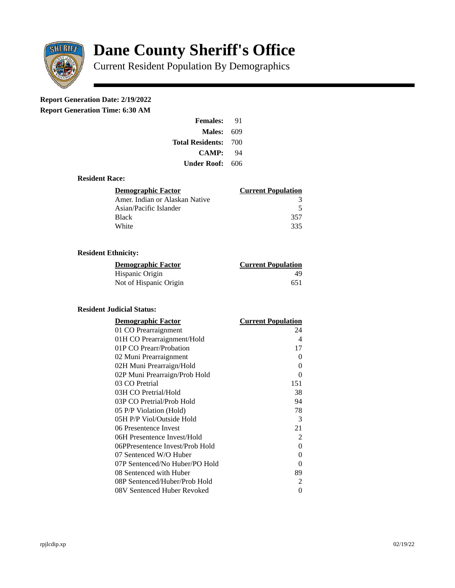

# **Dane County Sheriff's Office**

Current Resident Population By Demographics

# **Report Generation Date: 2/19/2022**

**Report Generation Time: 6:30 AM** 

| <b>Females:</b>         | 91  |
|-------------------------|-----|
| Males:                  | 609 |
| <b>Total Residents:</b> | 700 |
| CAMP:                   | 94  |
| Under Roof:             | 606 |

## **Resident Race:**

| Demographic Factor             | <b>Current Population</b> |
|--------------------------------|---------------------------|
| Amer. Indian or Alaskan Native |                           |
| Asian/Pacific Islander         | .5                        |
| <b>Black</b>                   | 357                       |
| White                          | 335                       |

# **Resident Ethnicity:**

| <u>Demographic Factor</u> | <b>Current Population</b> |
|---------------------------|---------------------------|
| Hispanic Origin           | 49                        |
| Not of Hispanic Origin    | 651                       |

#### **Resident Judicial Status:**

| <b>Demographic Factor</b>       | <b>Current Population</b> |
|---------------------------------|---------------------------|
| 01 CO Prearraignment            | 24                        |
| 01H CO Prearraignment/Hold      | 4                         |
| 01P CO Prearr/Probation         | 17                        |
| 02 Muni Prearraignment          | 0                         |
| 02H Muni Prearraign/Hold        | 0                         |
| 02P Muni Prearraign/Prob Hold   | 0                         |
| 03 CO Pretrial                  | 151                       |
| 03H CO Pretrial/Hold            | 38                        |
| 03P CO Pretrial/Prob Hold       | 94                        |
| 05 P/P Violation (Hold)         | 78                        |
| 05H P/P Viol/Outside Hold       | 3                         |
| 06 Presentence Invest           | 21                        |
| 06H Presentence Invest/Hold     | $\overline{2}$            |
| 06PPresentence Invest/Prob Hold | 0                         |
| 07 Sentenced W/O Huber          | 0                         |
| 07P Sentenced/No Huber/PO Hold  | 0                         |
| 08 Sentenced with Huber         | 89                        |
| 08P Sentenced/Huber/Prob Hold   | 2                         |
| 08V Sentenced Huber Revoked     | 0                         |